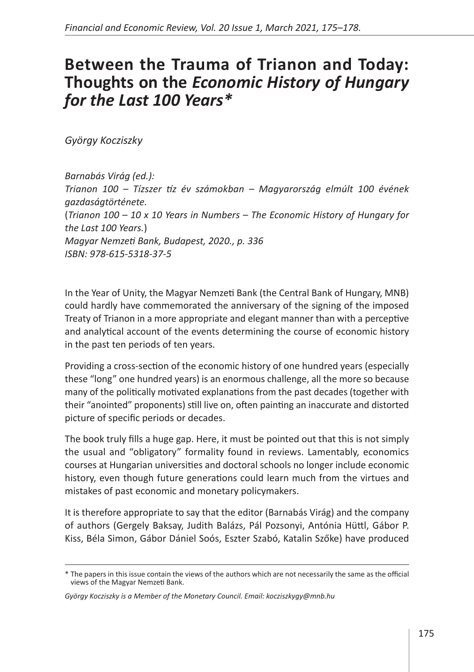## **Between the Trauma of Trianon and Today: Thoughts on the** *Economic History of Hungary for the Last 100 Years\**

*György Kocziszky* 

*Barnabás Virág (ed.): Trianon 100 – Tízszer tíz év számokban – Magyarország elmúlt 100 évének gazdaságtörténete.*  (*Trianon 100 – 10 x 10 Years in Numbers – The Economic History of Hungary for the Last 100 Years.*) *Magyar Nemzeti Bank, Budapest, 2020., p. 336 ISBN: 978-615-5318-37-5*

In the Year of Unity, the Magyar Nemzeti Bank (the Central Bank of Hungary, MNB) could hardly have commemorated the anniversary of the signing of the imposed Treaty of Trianon in a more appropriate and elegant manner than with a perceptive and analytical account of the events determining the course of economic history in the past ten periods of ten years.

Providing a cross-section of the economic history of one hundred years (especially these "long" one hundred years) is an enormous challenge, all the more so because many of the politically motivated explanations from the past decades (together with their "anointed" proponents) still live on, often painting an inaccurate and distorted picture of specific periods or decades.

The book truly fills a huge gap. Here, it must be pointed out that this is not simply the usual and "obligatory" formality found in reviews. Lamentably, economics courses at Hungarian universities and doctoral schools no longer include economic history, even though future generations could learn much from the virtues and mistakes of past economic and monetary policymakers.

It is therefore appropriate to say that the editor (Barnabás Virág) and the company of authors (Gergely Baksay, Judith Balázs, Pál Pozsonyi, Antónia Hüttl, Gábor P. Kiss, Béla Simon, Gábor Dániel Soós, Eszter Szabó, Katalin Szőke) have produced

<sup>\*</sup> The papers in this issue contain the views of the authors which are not necessarily the same as the official views of the Magyar Nemzeti Bank.

*György Kocziszky is a Member of the Monetary Council. Email: kocziszkygy@mnb.hu*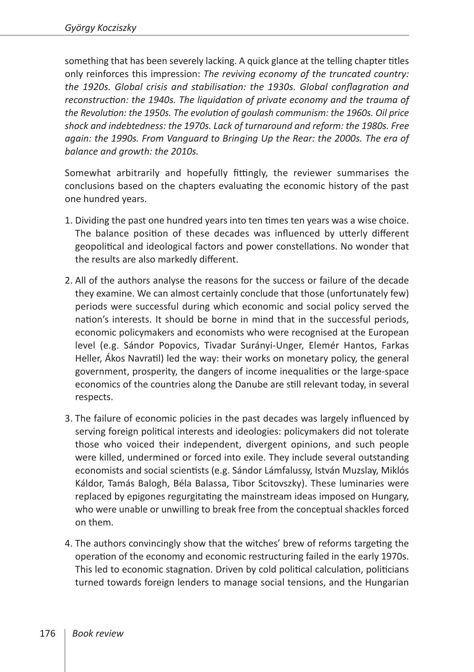something that has been severely lacking. A quick glance at the telling chapter titles only reinforces this impression: *The reviving economy of the truncated country: the 1920s. Global crisis and stabilisation: the 1930s. Global conflagration and*  reconstruction: the 1940s. The liquidation of private economy and the trauma of *the Revolution: the 1950s. The evolution of goulash communism: the 1960s. Oil price shock and indebtedness: the 1970s. Lack of turnaround and reform: the 1980s. Free again: the 1990s. From Vanguard to Bringing Up the Rear: the 2000s. The era of balance and growth: the 2010s.*

Somewhat arbitrarily and hopefully fittingly, the reviewer summarises the conclusions based on the chapters evaluating the economic history of the past one hundred years.

- 1. Dividing the past one hundred years into ten times ten years was a wise choice. The balance position of these decades was influenced by utterly different geopolitical and ideological factors and power constellations. No wonder that the results are also markedly different.
- 2. All of the authors analyse the reasons for the success or failure of the decade they examine. We can almost certainly conclude that those (unfortunately few) periods were successful during which economic and social policy served the nation's interests. It should be borne in mind that in the successful periods, economic policymakers and economists who were recognised at the European level (e.g. Sándor Popovics, Tivadar Surányi-Unger, Elemér Hantos, Farkas Heller, Ákos Navratil) led the way: their works on monetary policy, the general government, prosperity, the dangers of income inequalities or the large-space economics of the countries along the Danube are still relevant today, in several respects.
- 3. The failure of economic policies in the past decades was largely influenced by serving foreign political interests and ideologies: policymakers did not tolerate those who voiced their independent, divergent opinions, and such people were killed, undermined or forced into exile. They include several outstanding economists and social scientists (e.g. Sándor Lámfalussy, István Muzslay, Miklós Káldor, Tamás Balogh, Béla Balassa, Tibor Scitovszky). These luminaries were replaced by epigones regurgitating the mainstream ideas imposed on Hungary, who were unable or unwilling to break free from the conceptual shackles forced on them.
- 4. The authors convincingly show that the witches' brew of reforms targeting the operation of the economy and economic restructuring failed in the early 1970s. This led to economic stagnation. Driven by cold political calculation, politicians turned towards foreign lenders to manage social tensions, and the Hungarian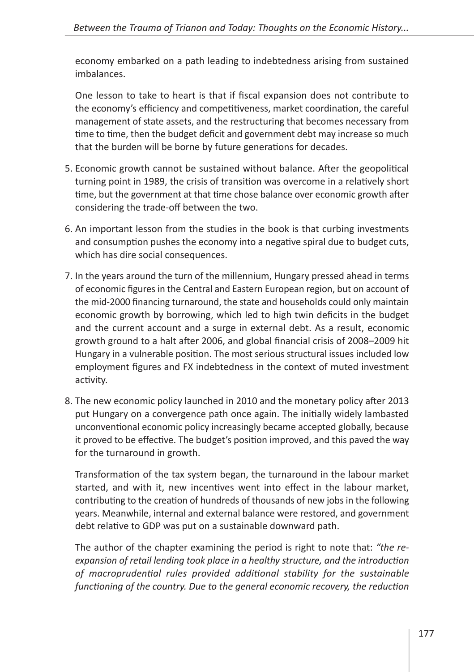economy embarked on a path leading to indebtedness arising from sustained imbalances.

One lesson to take to heart is that if fiscal expansion does not contribute to the economy's efficiency and competitiveness, market coordination, the careful management of state assets, and the restructuring that becomes necessary from time to time, then the budget deficit and government debt may increase so much that the burden will be borne by future generations for decades.

- 5. Economic growth cannot be sustained without balance. After the geopolitical turning point in 1989, the crisis of transition was overcome in a relatively short time, but the government at that time chose balance over economic growth after considering the trade‑off between the two.
- 6. An important lesson from the studies in the book is that curbing investments and consumption pushes the economy into a negative spiral due to budget cuts, which has dire social consequences.
- 7. In the years around the turn of the millennium, Hungary pressed ahead in terms of economic figures in the Central and Eastern European region, but on account of the mid‑2000 financing turnaround, the state and households could only maintain economic growth by borrowing, which led to high twin deficits in the budget and the current account and a surge in external debt. As a result, economic growth ground to a halt after 2006, and global financial crisis of 2008–2009 hit Hungary in a vulnerable position. The most serious structural issues included low employment figures and FX indebtedness in the context of muted investment activity.
- 8. The new economic policy launched in 2010 and the monetary policy after 2013 put Hungary on a convergence path once again. The initially widely lambasted unconventional economic policy increasingly became accepted globally, because it proved to be effective. The budget's position improved, and this paved the way for the turnaround in growth.

Transformation of the tax system began, the turnaround in the labour market started, and with it, new incentives went into effect in the labour market, contributing to the creation of hundreds of thousands of new jobs in the following years. Meanwhile, internal and external balance were restored, and government debt relative to GDP was put on a sustainable downward path.

The author of the chapter examining the period is right to note that: *"the reexpansion of retail lending took place in a healthy structure, and the introduction of macroprudential rules provided additional stability for the sustainable functioning of the country. Due to the general economic recovery, the reduction*